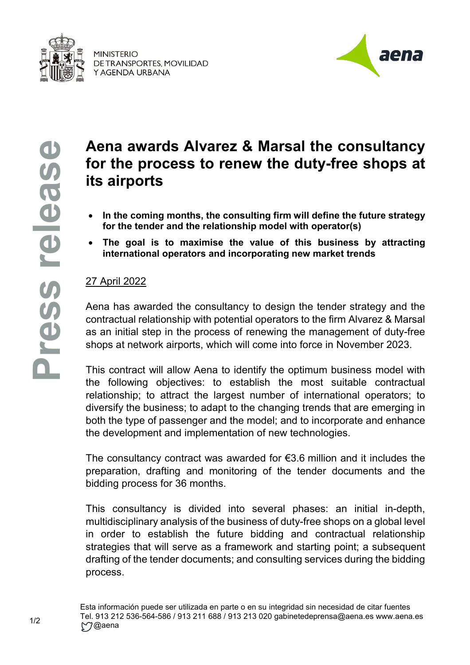

**MINISTERIO** DE TRANSPORTES, MOVILIDAD Y AGENDA URBANA



## **Aena awards Alvarez & Marsal the consultancy for the process to renew the duty-free shops at its airports**

- **In the coming months, the consulting firm will define the future strategy for the tender and the relationship model with operator(s)**
- **The goal is to maximise the value of this business by attracting international operators and incorporating new market trends**

## 27 April 2022

Aena has awarded the consultancy to design the tender strategy and the contractual relationship with potential operators to the firm Alvarez & Marsal as an initial step in the process of renewing the management of duty-free shops at network airports, which will come into force in November 2023.

This contract will allow Aena to identify the optimum business model with the following objectives: to establish the most suitable contractual relationship; to attract the largest number of international operators; to diversify the business; to adapt to the changing trends that are emerging in both the type of passenger and the model; and to incorporate and enhance the development and implementation of new technologies.

The consultancy contract was awarded for €3.6 million and it includes the preparation, drafting and monitoring of the tender documents and the bidding process for 36 months.

This consultancy is divided into several phases: an initial in-depth, multidisciplinary analysis of the business of duty-free shops on a global level in order to establish the future bidding and contractual relationship strategies that will serve as a framework and starting point; a subsequent drafting of the tender documents; and consulting services during the bidding process.